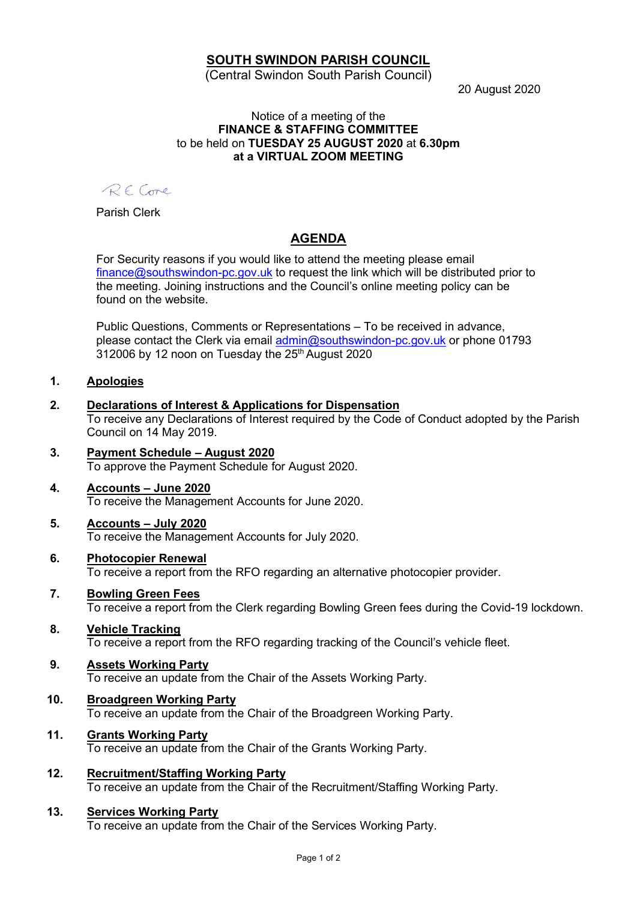# SOUTH SWINDON PARISH COUNCIL

(Central Swindon South Parish Council)

20 August 2020

#### Notice of a meeting of the FINANCE & STAFFING COMMITTEE to be held on TUESDAY 25 AUGUST 2020 at 6.30pm at a VIRTUAL ZOOM MEETING

RECome

Parish Clerk

# AGENDA

For Security reasons if you would like to attend the meeting please email finance@southswindon-pc.gov.uk to request the link which will be distributed prior to the meeting. Joining instructions and the Council's online meeting policy can be found on the website.

Public Questions, Comments or Representations – To be received in advance, please contact the Clerk via email admin@southswindon-pc.gov.uk or phone 01793  $312006$  by 12 noon on Tuesday the  $25<sup>th</sup>$  August 2020

#### 1. Apologies

### 2. Declarations of Interest & Applications for Dispensation

To receive any Declarations of Interest required by the Code of Conduct adopted by the Parish Council on 14 May 2019.

### 3. Payment Schedule – August 2020

To approve the Payment Schedule for August 2020.

#### 4. Accounts – June 2020

To receive the Management Accounts for June 2020.

#### 5. Accounts – July 2020

To receive the Management Accounts for July 2020.

#### 6. Photocopier Renewal

To receive a report from the RFO regarding an alternative photocopier provider.

#### 7. Bowling Green Fees

To receive a report from the Clerk regarding Bowling Green fees during the Covid-19 lockdown.

#### 8. Vehicle Tracking

To receive a report from the RFO regarding tracking of the Council's vehicle fleet.

#### 9. Assets Working Party

To receive an update from the Chair of the Assets Working Party.

### 10. Broadgreen Working Party

To receive an update from the Chair of the Broadgreen Working Party.

#### 11. Grants Working Party

To receive an update from the Chair of the Grants Working Party.

#### 12. Recruitment/Staffing Working Party To receive an update from the Chair of the Recruitment/Staffing Working Party.

#### 13. Services Working Party

To receive an update from the Chair of the Services Working Party.